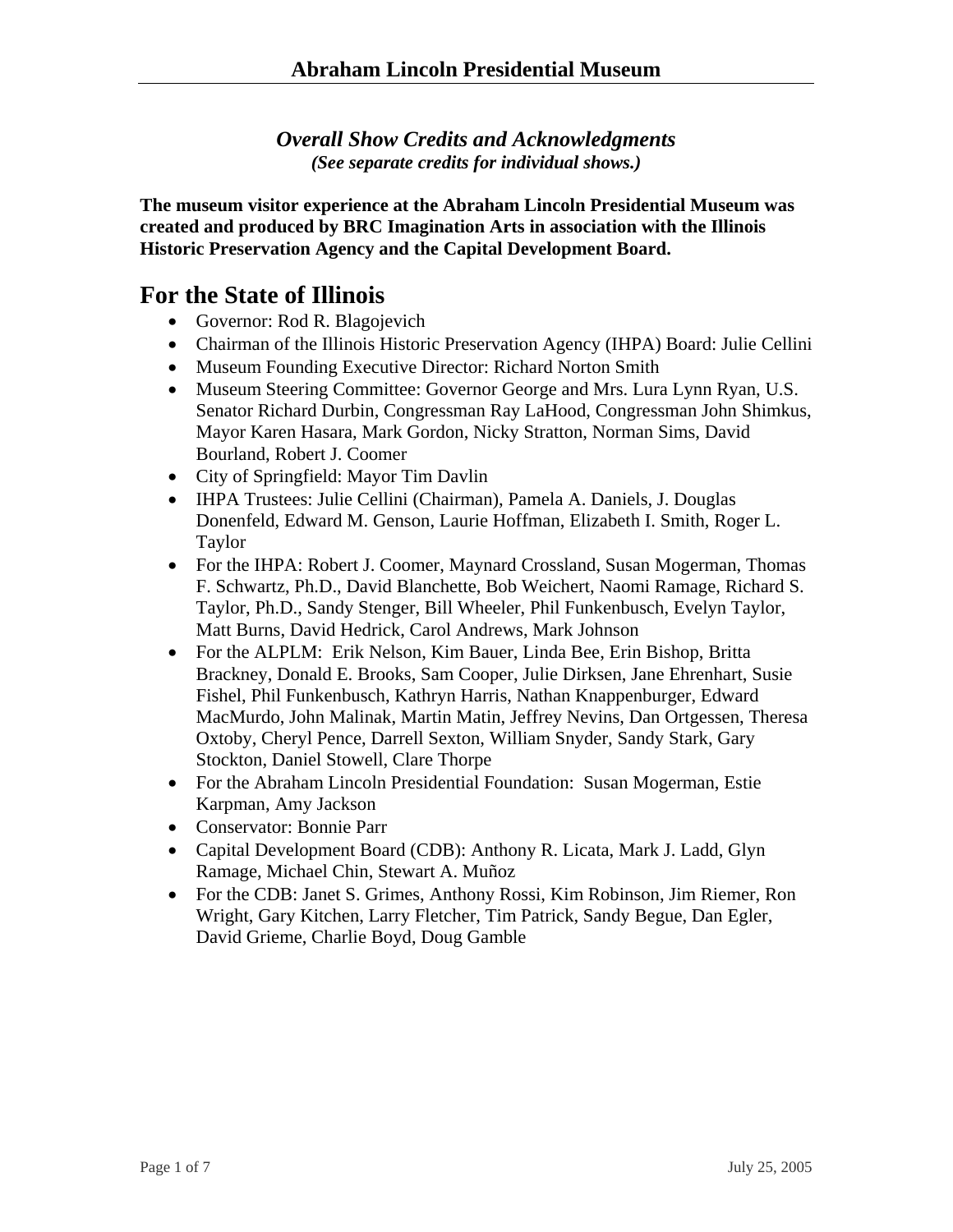*Overall Show Credits and Acknowledgments (See separate credits for individual shows.)* 

**The museum visitor experience at the Abraham Lincoln Presidential Museum was created and produced by BRC Imagination Arts in association with the Illinois Historic Preservation Agency and the Capital Development Board.** 

## **For the State of Illinois**

- Governor: Rod R. Blagojevich
- Chairman of the Illinois Historic Preservation Agency (IHPA) Board: Julie Cellini
- Museum Founding Executive Director: Richard Norton Smith
- Museum Steering Committee: Governor George and Mrs. Lura Lynn Ryan, U.S. Senator Richard Durbin, Congressman Ray LaHood, Congressman John Shimkus, Mayor Karen Hasara, Mark Gordon, Nicky Stratton, Norman Sims, David Bourland, Robert J. Coomer
- City of Springfield: Mayor Tim Davlin
- IHPA Trustees: Julie Cellini (Chairman), Pamela A. Daniels, J. Douglas Donenfeld, Edward M. Genson, Laurie Hoffman, Elizabeth I. Smith, Roger L. Taylor
- For the IHPA: Robert J. Coomer, Maynard Crossland, Susan Mogerman, Thomas F. Schwartz, Ph.D., David Blanchette, Bob Weichert, Naomi Ramage, Richard S. Taylor, Ph.D., Sandy Stenger, Bill Wheeler, Phil Funkenbusch, Evelyn Taylor, Matt Burns, David Hedrick, Carol Andrews, Mark Johnson
- For the ALPLM: Erik Nelson, Kim Bauer, Linda Bee, Erin Bishop, Britta Brackney, Donald E. Brooks, Sam Cooper, Julie Dirksen, Jane Ehrenhart, Susie Fishel, Phil Funkenbusch, Kathryn Harris, Nathan Knappenburger, Edward MacMurdo, John Malinak, Martin Matin, Jeffrey Nevins, Dan Ortgessen, Theresa Oxtoby, Cheryl Pence, Darrell Sexton, William Snyder, Sandy Stark, Gary Stockton, Daniel Stowell, Clare Thorpe
- For the Abraham Lincoln Presidential Foundation: Susan Mogerman, Estie Karpman, Amy Jackson
- Conservator: Bonnie Parr
- Capital Development Board (CDB): Anthony R. Licata, Mark J. Ladd, Glyn Ramage, Michael Chin, Stewart A. Muñoz
- For the CDB: Janet S. Grimes, Anthony Rossi, Kim Robinson, Jim Riemer, Ron Wright, Gary Kitchen, Larry Fletcher, Tim Patrick, Sandy Begue, Dan Egler, David Grieme, Charlie Boyd, Doug Gamble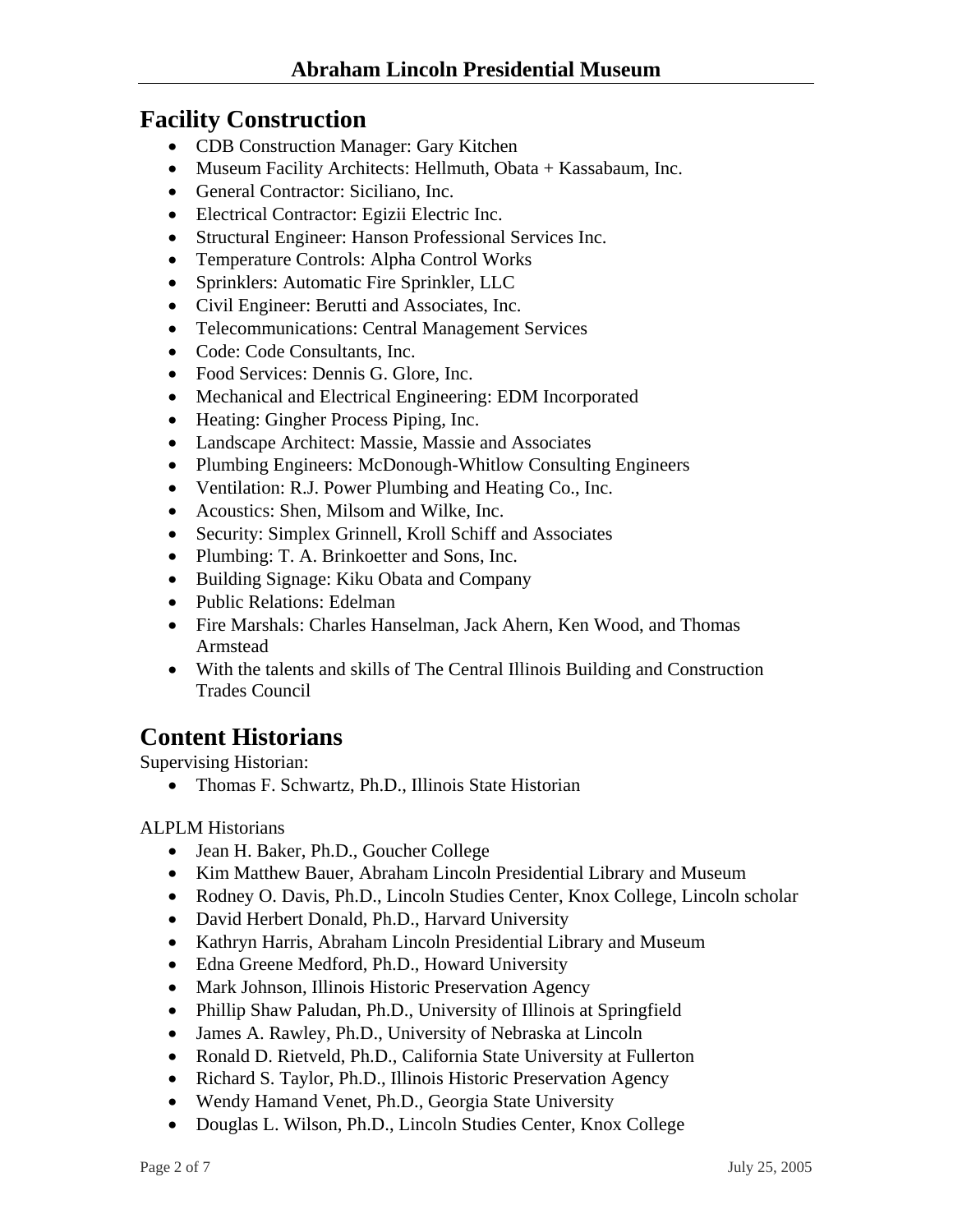### **Facility Construction**

- CDB Construction Manager: Gary Kitchen
- Museum Facility Architects: Hellmuth, Obata + Kassabaum, Inc.
- General Contractor: Siciliano, Inc.
- Electrical Contractor: Egizii Electric Inc.
- Structural Engineer: Hanson Professional Services Inc.
- Temperature Controls: Alpha Control Works
- Sprinklers: Automatic Fire Sprinkler, LLC
- Civil Engineer: Berutti and Associates, Inc.
- Telecommunications: Central Management Services
- Code: Code Consultants, Inc.
- Food Services: Dennis G. Glore, Inc.
- Mechanical and Electrical Engineering: EDM Incorporated
- Heating: Gingher Process Piping, Inc.
- Landscape Architect: Massie, Massie and Associates
- Plumbing Engineers: McDonough-Whitlow Consulting Engineers
- Ventilation: R.J. Power Plumbing and Heating Co., Inc.
- Acoustics: Shen, Milsom and Wilke, Inc.
- Security: Simplex Grinnell, Kroll Schiff and Associates
- Plumbing: T. A. Brinkoetter and Sons, Inc.
- Building Signage: Kiku Obata and Company
- Public Relations: Edelman
- Fire Marshals: Charles Hanselman, Jack Ahern, Ken Wood, and Thomas Armstead
- With the talents and skills of The Central Illinois Building and Construction Trades Council

# **Content Historians**

Supervising Historian:

• Thomas F. Schwartz, Ph.D., Illinois State Historian

#### ALPLM Historians

- Jean H. Baker, Ph.D., Goucher College
- Kim Matthew Bauer, Abraham Lincoln Presidential Library and Museum
- Rodney O. Davis, Ph.D., Lincoln Studies Center, Knox College, Lincoln scholar
- David Herbert Donald, Ph.D., Harvard University
- Kathryn Harris, Abraham Lincoln Presidential Library and Museum
- Edna Greene Medford, Ph.D., Howard University
- Mark Johnson, Illinois Historic Preservation Agency
- Phillip Shaw Paludan, Ph.D., University of Illinois at Springfield
- James A. Rawley, Ph.D., University of Nebraska at Lincoln
- Ronald D. Rietveld, Ph.D., California State University at Fullerton
- Richard S. Taylor, Ph.D., Illinois Historic Preservation Agency
- Wendy Hamand Venet, Ph.D., Georgia State University
- Douglas L. Wilson, Ph.D., Lincoln Studies Center, Knox College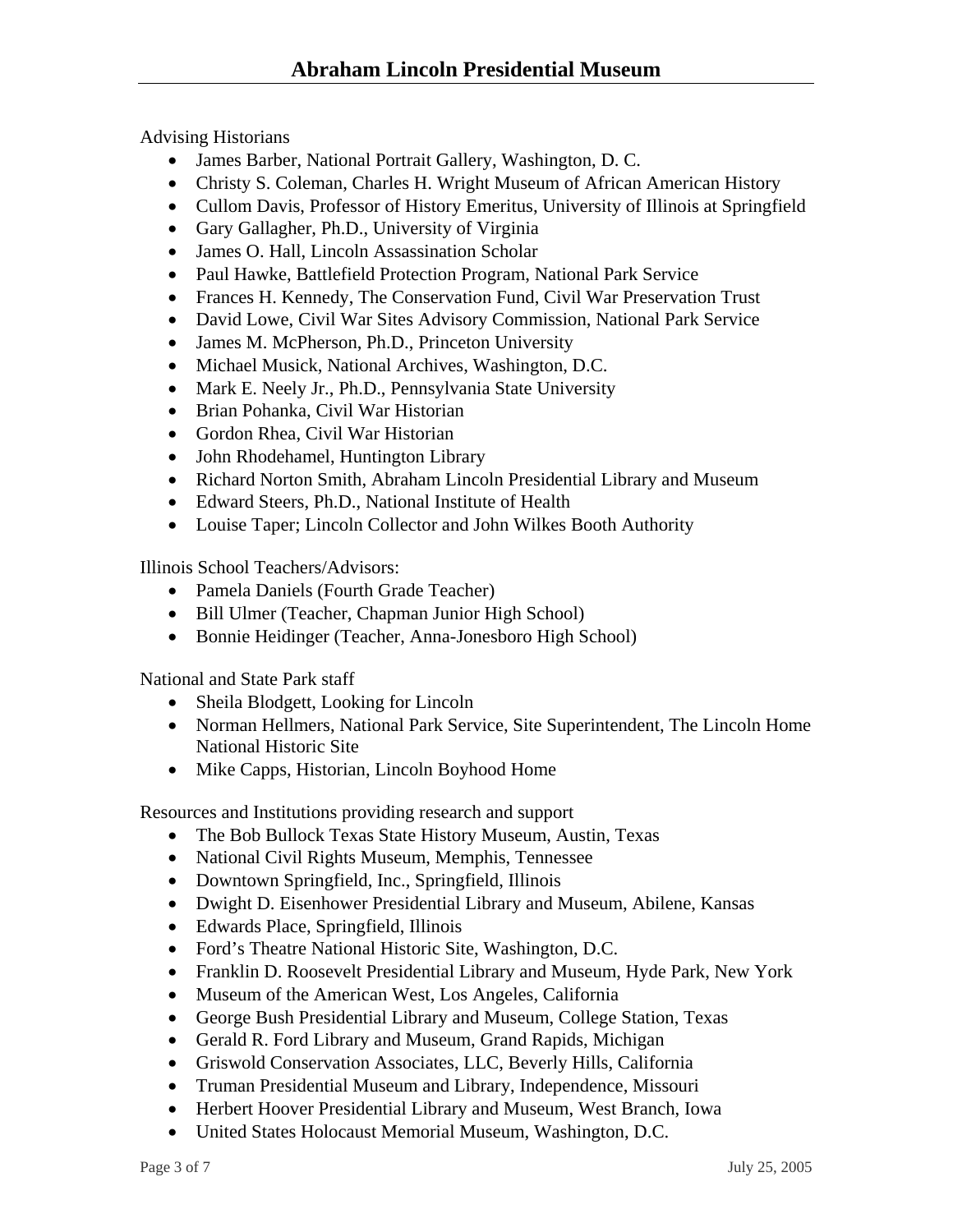Advising Historians

- James Barber, National Portrait Gallery, Washington, D. C.
- Christy S. Coleman, Charles H. Wright Museum of African American History
- Cullom Davis, Professor of History Emeritus, University of Illinois at Springfield
- Gary Gallagher, Ph.D., University of Virginia
- James O. Hall, Lincoln Assassination Scholar
- Paul Hawke, Battlefield Protection Program, National Park Service
- Frances H. Kennedy, The Conservation Fund, Civil War Preservation Trust
- David Lowe, Civil War Sites Advisory Commission, National Park Service
- James M. McPherson, Ph.D., Princeton University
- Michael Musick, National Archives, Washington, D.C.
- Mark E. Neely Jr., Ph.D., Pennsylvania State University
- Brian Pohanka, Civil War Historian
- Gordon Rhea, Civil War Historian
- John Rhodehamel, Huntington Library
- Richard Norton Smith, Abraham Lincoln Presidential Library and Museum
- Edward Steers, Ph.D., National Institute of Health
- Louise Taper; Lincoln Collector and John Wilkes Booth Authority

Illinois School Teachers/Advisors:

- Pamela Daniels (Fourth Grade Teacher)
- Bill Ulmer (Teacher, Chapman Junior High School)
- Bonnie Heidinger (Teacher, Anna-Jonesboro High School)

National and State Park staff

- Sheila Blodgett, Looking for Lincoln
- Norman Hellmers, National Park Service, Site Superintendent, The Lincoln Home National Historic Site
- Mike Capps, Historian, Lincoln Boyhood Home

Resources and Institutions providing research and support

- The Bob Bullock Texas State History Museum, Austin, Texas
- National Civil Rights Museum, Memphis, Tennessee
- Downtown Springfield, Inc., Springfield, Illinois
- Dwight D. Eisenhower Presidential Library and Museum, Abilene, Kansas
- Edwards Place, Springfield, Illinois
- Ford's Theatre National Historic Site, Washington, D.C.
- Franklin D. Roosevelt Presidential Library and Museum, Hyde Park, New York
- Museum of the American West, Los Angeles, California
- George Bush Presidential Library and Museum, College Station, Texas
- Gerald R. Ford Library and Museum, Grand Rapids, Michigan
- Griswold Conservation Associates, LLC, Beverly Hills, California
- Truman Presidential Museum and Library, Independence, Missouri
- Herbert Hoover Presidential Library and Museum, West Branch, Iowa
- United States Holocaust Memorial Museum, Washington, D.C.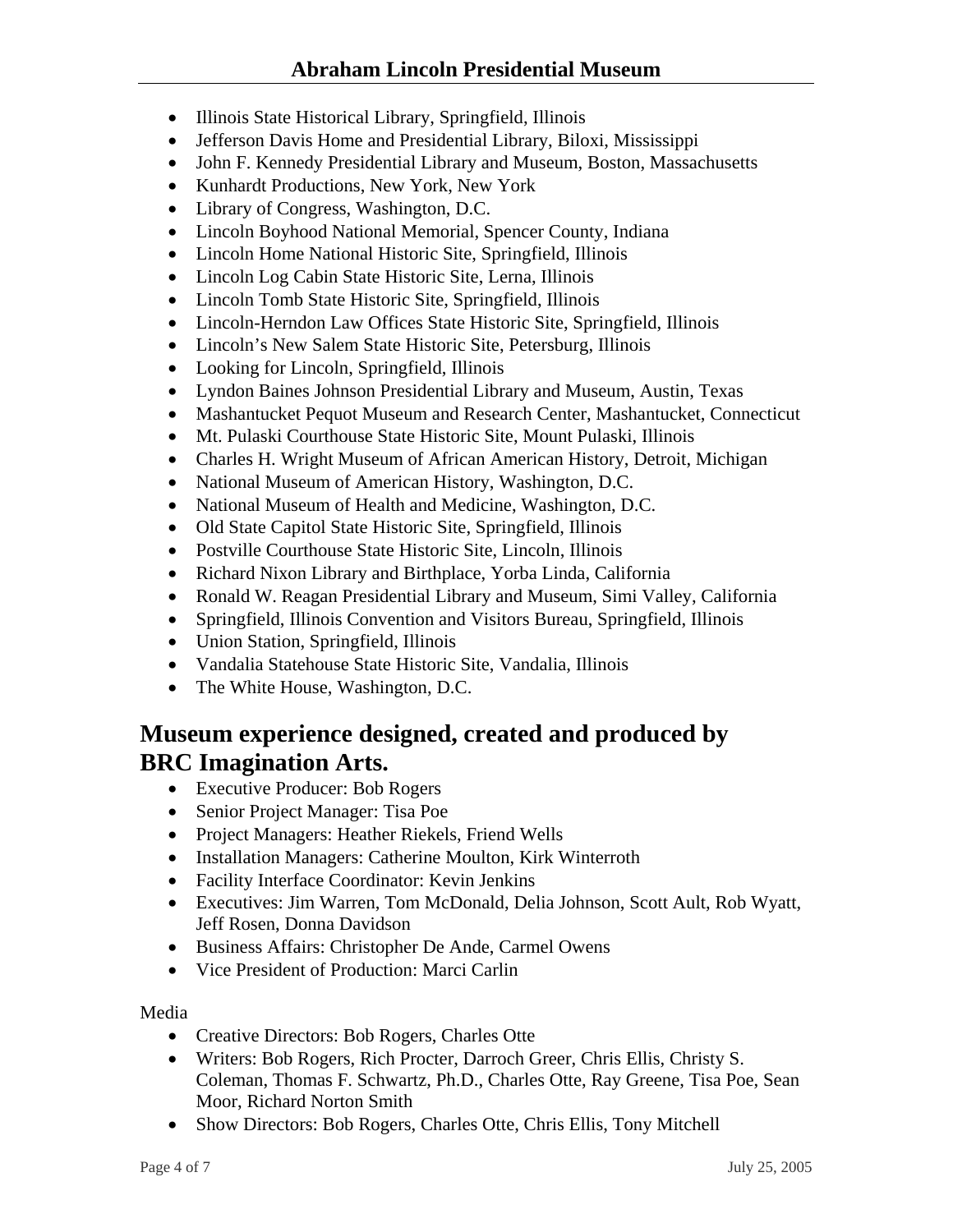- Illinois State Historical Library, Springfield, Illinois
- Jefferson Davis Home and Presidential Library, Biloxi, Mississippi
- John F. Kennedy Presidential Library and Museum, Boston, Massachusetts
- Kunhardt Productions, New York, New York
- Library of Congress, Washington, D.C.
- Lincoln Boyhood National Memorial, Spencer County, Indiana
- Lincoln Home National Historic Site, Springfield, Illinois
- Lincoln Log Cabin State Historic Site, Lerna, Illinois
- Lincoln Tomb State Historic Site, Springfield, Illinois
- Lincoln-Herndon Law Offices State Historic Site, Springfield, Illinois
- Lincoln's New Salem State Historic Site, Petersburg, Illinois
- Looking for Lincoln, Springfield, Illinois
- Lyndon Baines Johnson Presidential Library and Museum, Austin, Texas
- Mashantucket Pequot Museum and Research Center, Mashantucket, Connecticut
- Mt. Pulaski Courthouse State Historic Site, Mount Pulaski, Illinois
- Charles H. Wright Museum of African American History, Detroit, Michigan
- National Museum of American History, Washington, D.C.
- National Museum of Health and Medicine, Washington, D.C.
- Old State Capitol State Historic Site, Springfield, Illinois
- Postville Courthouse State Historic Site, Lincoln, Illinois
- Richard Nixon Library and Birthplace, Yorba Linda, California
- Ronald W. Reagan Presidential Library and Museum, Simi Valley, California
- Springfield, Illinois Convention and Visitors Bureau, Springfield, Illinois
- Union Station, Springfield, Illinois
- Vandalia Statehouse State Historic Site, Vandalia, Illinois
- The White House, Washington, D.C.

# **Museum experience designed, created and produced by BRC Imagination Arts.**

- Executive Producer: Bob Rogers
- Senior Project Manager: Tisa Poe
- Project Managers: Heather Riekels, Friend Wells
- Installation Managers: Catherine Moulton, Kirk Winterroth
- Facility Interface Coordinator: Kevin Jenkins
- Executives: Jim Warren, Tom McDonald, Delia Johnson, Scott Ault, Rob Wyatt, Jeff Rosen, Donna Davidson
- Business Affairs: Christopher De Ande, Carmel Owens
- Vice President of Production: Marci Carlin

Media

- Creative Directors: Bob Rogers, Charles Otte
- Writers: Bob Rogers, Rich Procter, Darroch Greer, Chris Ellis, Christy S. Coleman, Thomas F. Schwartz, Ph.D., Charles Otte, Ray Greene, Tisa Poe, Sean Moor, Richard Norton Smith
- Show Directors: Bob Rogers, Charles Otte, Chris Ellis, Tony Mitchell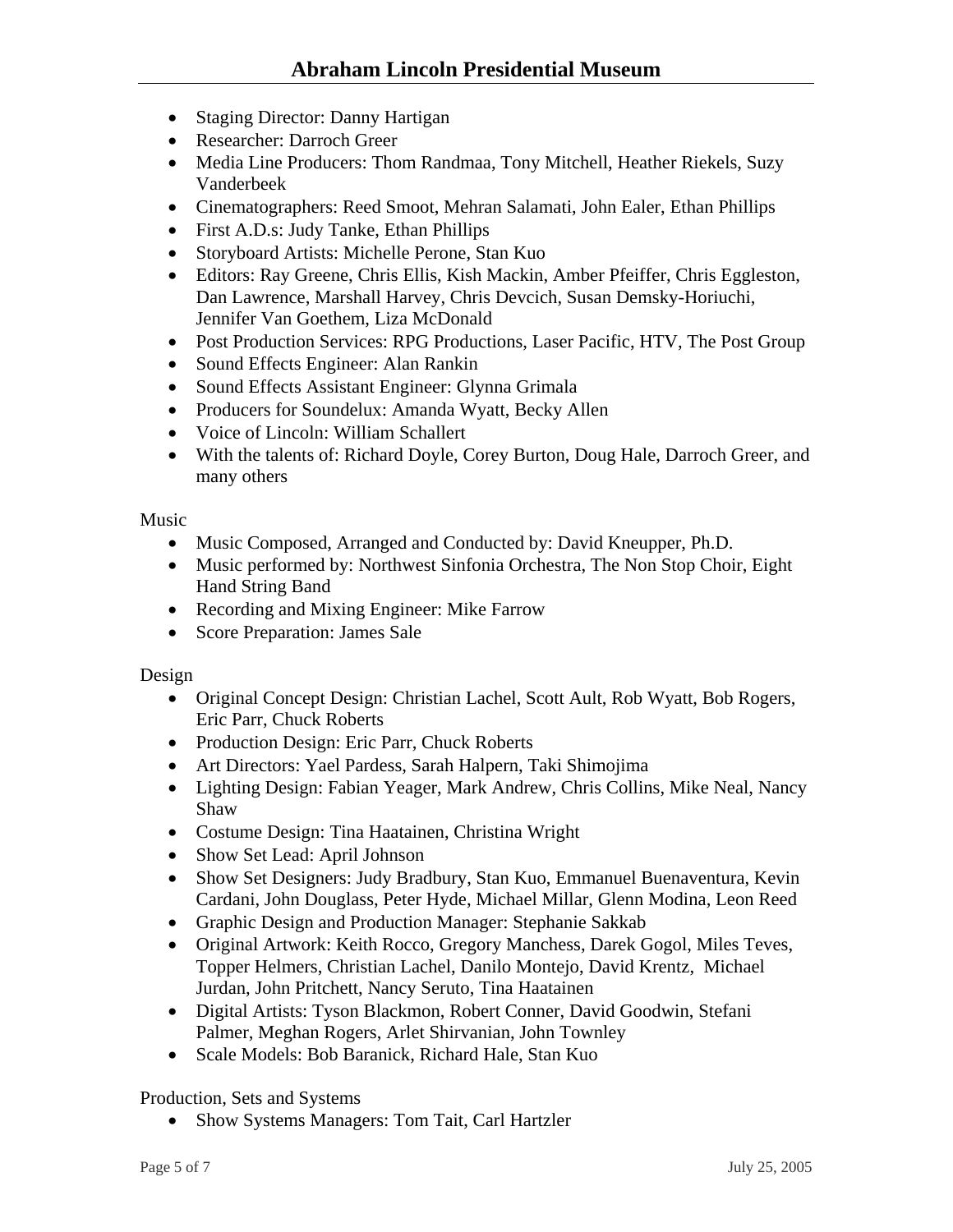- Staging Director: Danny Hartigan
- Researcher: Darroch Greer
- Media Line Producers: Thom Randmaa, Tony Mitchell, Heather Riekels, Suzy Vanderbeek
- Cinematographers: Reed Smoot, Mehran Salamati, John Ealer, Ethan Phillips
- First A.D.s: Judy Tanke, Ethan Phillips
- Storyboard Artists: Michelle Perone, Stan Kuo
- Editors: Ray Greene, Chris Ellis, Kish Mackin, Amber Pfeiffer, Chris Eggleston, Dan Lawrence, Marshall Harvey, Chris Devcich, Susan Demsky-Horiuchi, Jennifer Van Goethem, Liza McDonald
- Post Production Services: RPG Productions, Laser Pacific, HTV, The Post Group
- Sound Effects Engineer: Alan Rankin
- Sound Effects Assistant Engineer: Glynna Grimala
- Producers for Soundelux: Amanda Wyatt, Becky Allen
- Voice of Lincoln: William Schallert
- With the talents of: Richard Doyle, Corey Burton, Doug Hale, Darroch Greer, and many others

Music

- Music Composed, Arranged and Conducted by: David Kneupper, Ph.D.
- Music performed by: Northwest Sinfonia Orchestra, The Non Stop Choir, Eight Hand String Band
- Recording and Mixing Engineer: Mike Farrow
- Score Preparation: James Sale

Design

- Original Concept Design: Christian Lachel, Scott Ault, Rob Wyatt, Bob Rogers, Eric Parr, Chuck Roberts
- Production Design: Eric Parr, Chuck Roberts
- Art Directors: Yael Pardess, Sarah Halpern, Taki Shimojima
- Lighting Design: Fabian Yeager, Mark Andrew, Chris Collins, Mike Neal, Nancy Shaw
- Costume Design: Tina Haatainen, Christina Wright
- Show Set Lead: April Johnson
- Show Set Designers: Judy Bradbury, Stan Kuo, Emmanuel Buenaventura, Kevin Cardani, John Douglass, Peter Hyde, Michael Millar, Glenn Modina, Leon Reed
- Graphic Design and Production Manager: Stephanie Sakkab
- Original Artwork: Keith Rocco, Gregory Manchess, Darek Gogol, Miles Teves, Topper Helmers, Christian Lachel, Danilo Montejo, David Krentz, Michael Jurdan, John Pritchett, Nancy Seruto, Tina Haatainen
- Digital Artists: Tyson Blackmon, Robert Conner, David Goodwin, Stefani Palmer, Meghan Rogers, Arlet Shirvanian, John Townley
- Scale Models: Bob Baranick, Richard Hale, Stan Kuo

Production, Sets and Systems

• Show Systems Managers: Tom Tait, Carl Hartzler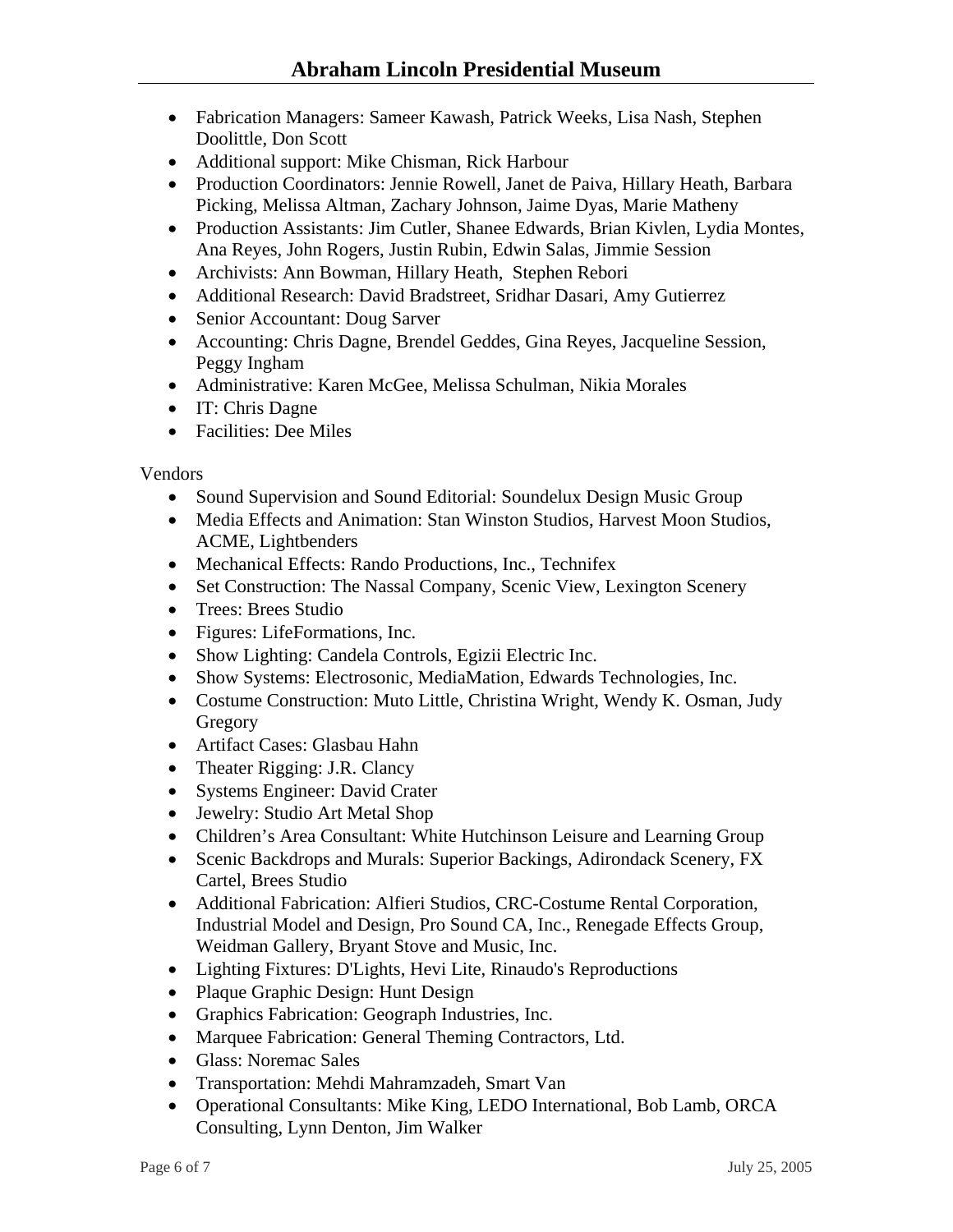- Fabrication Managers: Sameer Kawash, Patrick Weeks, Lisa Nash, Stephen Doolittle, Don Scott
- Additional support: Mike Chisman, Rick Harbour
- Production Coordinators: Jennie Rowell, Janet de Paiva, Hillary Heath, Barbara Picking, Melissa Altman, Zachary Johnson, Jaime Dyas, Marie Matheny
- Production Assistants: Jim Cutler, Shanee Edwards, Brian Kivlen, Lydia Montes, Ana Reyes, John Rogers, Justin Rubin, Edwin Salas, Jimmie Session
- Archivists: Ann Bowman, Hillary Heath, Stephen Rebori
- Additional Research: David Bradstreet, Sridhar Dasari, Amy Gutierrez
- Senior Accountant: Doug Sarver
- Accounting: Chris Dagne, Brendel Geddes, Gina Reyes, Jacqueline Session, Peggy Ingham
- Administrative: Karen McGee, Melissa Schulman, Nikia Morales
- IT: Chris Dagne
- Facilities: Dee Miles

Vendors

- Sound Supervision and Sound Editorial: Soundelux Design Music Group
- Media Effects and Animation: Stan Winston Studios, Harvest Moon Studios, ACME, Lightbenders
- Mechanical Effects: Rando Productions, Inc., Technifex
- Set Construction: The Nassal Company, Scenic View, Lexington Scenery
- Trees: Brees Studio
- Figures: LifeFormations, Inc.
- Show Lighting: Candela Controls, Egizii Electric Inc.
- Show Systems: Electrosonic, MediaMation, Edwards Technologies, Inc.
- Costume Construction: Muto Little, Christina Wright, Wendy K. Osman, Judy Gregory
- Artifact Cases: Glasbau Hahn
- Theater Rigging: J.R. Clancy
- Systems Engineer: David Crater
- Jewelry: Studio Art Metal Shop
- Children's Area Consultant: White Hutchinson Leisure and Learning Group
- Scenic Backdrops and Murals: Superior Backings, Adirondack Scenery, FX Cartel, Brees Studio
- Additional Fabrication: Alfieri Studios, CRC-Costume Rental Corporation, Industrial Model and Design, Pro Sound CA, Inc., Renegade Effects Group, Weidman Gallery, Bryant Stove and Music, Inc.
- Lighting Fixtures: D'Lights, Hevi Lite, Rinaudo's Reproductions
- Plaque Graphic Design: Hunt Design
- Graphics Fabrication: Geograph Industries, Inc.
- Marquee Fabrication: General Theming Contractors, Ltd.
- Glass: Noremac Sales
- Transportation: Mehdi Mahramzadeh, Smart Van
- Operational Consultants: Mike King, LEDO International, Bob Lamb, ORCA Consulting, Lynn Denton, Jim Walker